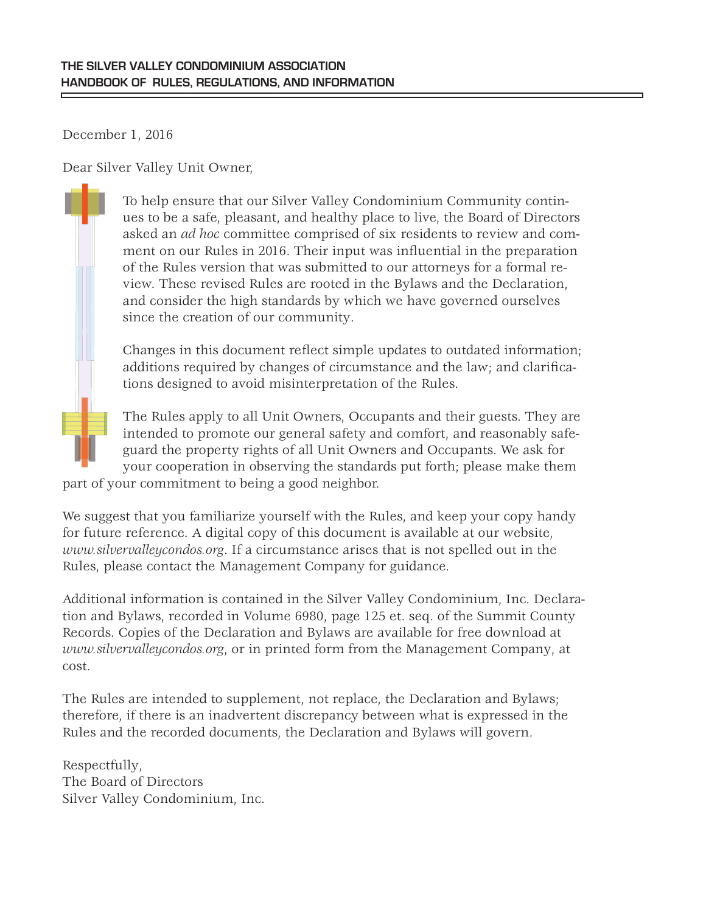December 1, 2016

Dear Silver Valley Unit Owner,

To help ensure that our Silver Valley Condominium Community continues to be a safe, pleasant, and healthy place to live, the Board of Directors asked an *ad hoc* committee comprised of six residents to review and comment on our Rules in 2016. Their input was influential in the preparation of the Rules version that was submitted to our attorneys for a formal review. These revised Rules are rooted in the Bylaws and the Declaration, and consider the high standards by which we have governed ourselves since the creation of our community.

Changes in this document reflect simple updates to outdated information; additions required by changes of circumstance and the law; and clarifications designed to avoid misinterpretation of the Rules.

The Rules apply to all Unit Owners, Occupants and their guests. They are intended to promote our general safety and comfort, and reasonably safeguard the property rights of all Unit Owners and Occupants. We ask for your cooperation in observing the standards put forth; please make them

part of your commitment to being a good neighbor.

We suggest that you familiarize yourself with the Rules, and keep your copy handy for future reference. A digital copy of this document is available at our website, *www.silvervalleycondos.org*. If a circumstance arises that is not spelled out in the Rules, please contact the Management Company for guidance.

Additional information is contained in the Silver Valley Condominium, Inc. Declaration and Bylaws, recorded in Volume 6980, page 125 et. seq. of the Summit County Records. Copies of the Declaration and Bylaws are available for free download at *www.silvervalleycondos.org*, or in printed form from the Management Company, at cost.

The Rules are intended to supplement, not replace, the Declaration and Bylaws; therefore, if there is an inadvertent discrepancy between what is expressed in the Rules and the recorded documents, the Declaration and Bylaws will govern.

Respectfully, The Board of Directors Silver Valley Condominium, Inc.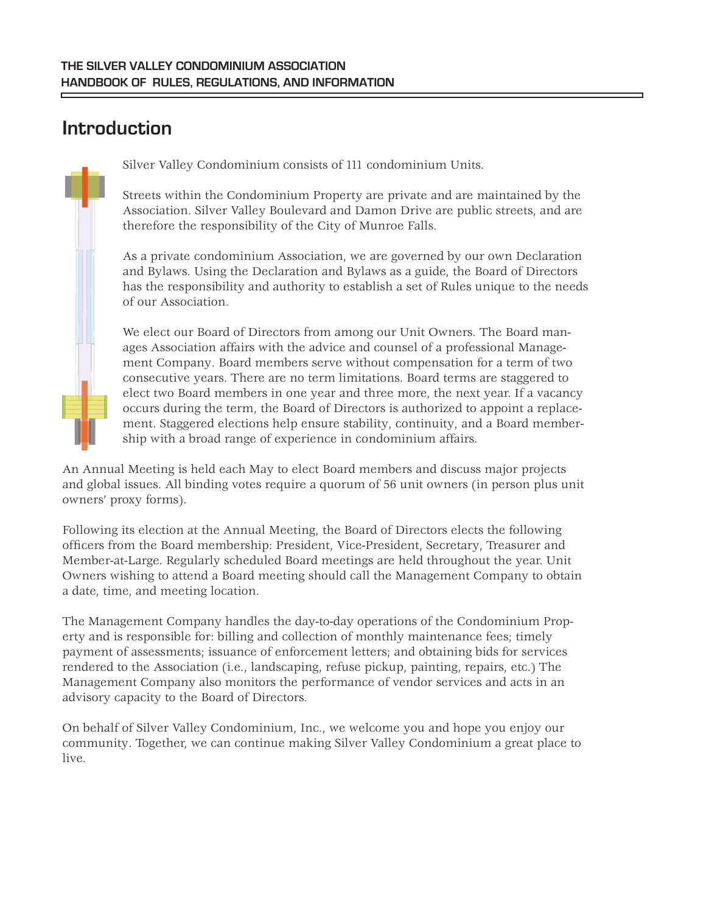## **Introduction**

Silver Valley Condominium consists of 111 condominium Units.

Streets within the Condominium Property are private and are maintained by the Association. Silver Valley Boulevard and Damon Drive are public streets, and are therefore the responsibility of the City of Munroe Falls.

As a private condominium Association, we are governed by our own Declaration and Bylaws. Using the Declaration and Bylaws as a guide, the Board of Directors has the responsibility and authority to establish a set of Rules unique to the needs of our Association.

We elect our Board of Directors from among our Unit Owners. The Board manages Association affairs with the advice and counsel of a professional Management Company. Board members serve without compensation for a term of two consecutive years. There are no term limitations. Board terms are staggered to elect two Board members in one year and three more, the next year. If a vacancy occurs during the term, the Board of Directors is authorized to appoint a replacement. Staggered elections help ensure stability, continuity, and a Board membership with a broad range of experience in condominium affairs.

An Annual Meeting is held each May to elect Board members and discuss major projects and global issues. All binding votes require a quorum of 56 unit owners (in person plus unit owners' proxy forms).

Following its election at the Annual Meeting, the Board of Directors elects the following officers from the Board membership: President, Vice-President, Secretary, Treasurer and Member-at-Large. Regularly scheduled Board meetings are held throughout the year. Unit Owners wishing to attend a Board meeting should call the Management Company to obtain a date, time, and meeting location.

The Management Company handles the day-to-day operations of the Condominium Property and is responsible for: billing and collection of monthly maintenance fees; timely payment of assessments; issuance of enforcement letters; and obtaining bids for services rendered to the Association (i.e., landscaping, refuse pickup, painting, repairs, etc.) The Management Company also monitors the performance of vendor services and acts in an advisory capacity to the Board of Directors.

On behalf of Silver Valley Condominium, Inc., we welcome you and hope you enjoy our community. Together, we can continue making Silver Valley Condominium a great place to live.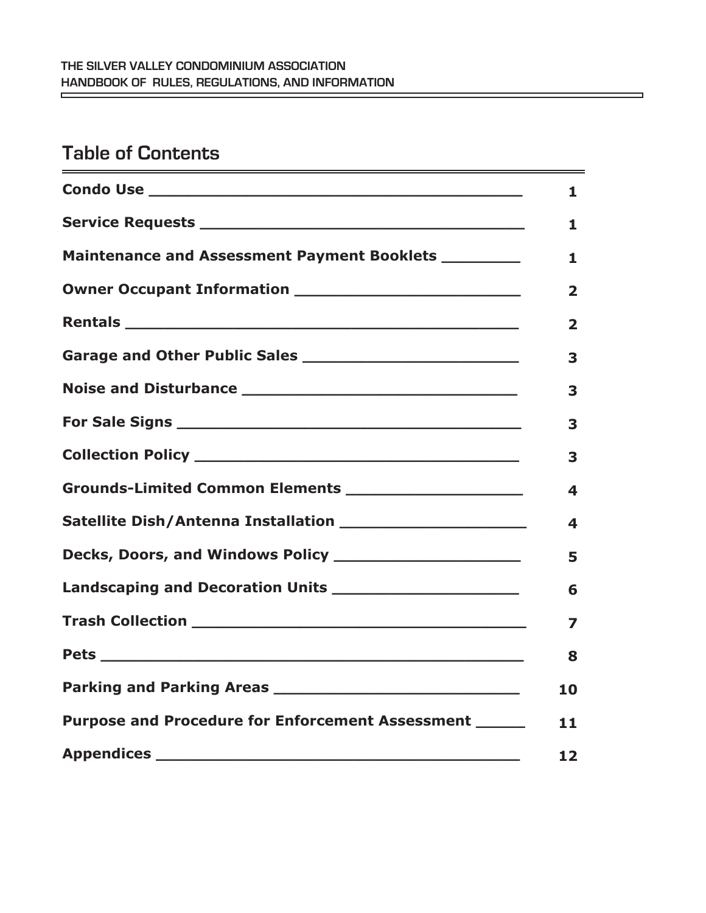## **Table of Contents**

|                                                        | 1                       |
|--------------------------------------------------------|-------------------------|
|                                                        | 1                       |
| Maintenance and Assessment Payment Booklets ________   | 1                       |
|                                                        | $\overline{\mathbf{2}}$ |
|                                                        | $\overline{\mathbf{2}}$ |
|                                                        | 3                       |
|                                                        | 3                       |
|                                                        | 3                       |
|                                                        | 3                       |
|                                                        | 4                       |
|                                                        | 4                       |
|                                                        | 5                       |
|                                                        | 6                       |
|                                                        | 7                       |
|                                                        | 8                       |
|                                                        | 10                      |
| Purpose and Procedure for Enforcement Assessment _____ | 11                      |
|                                                        | 12                      |

۳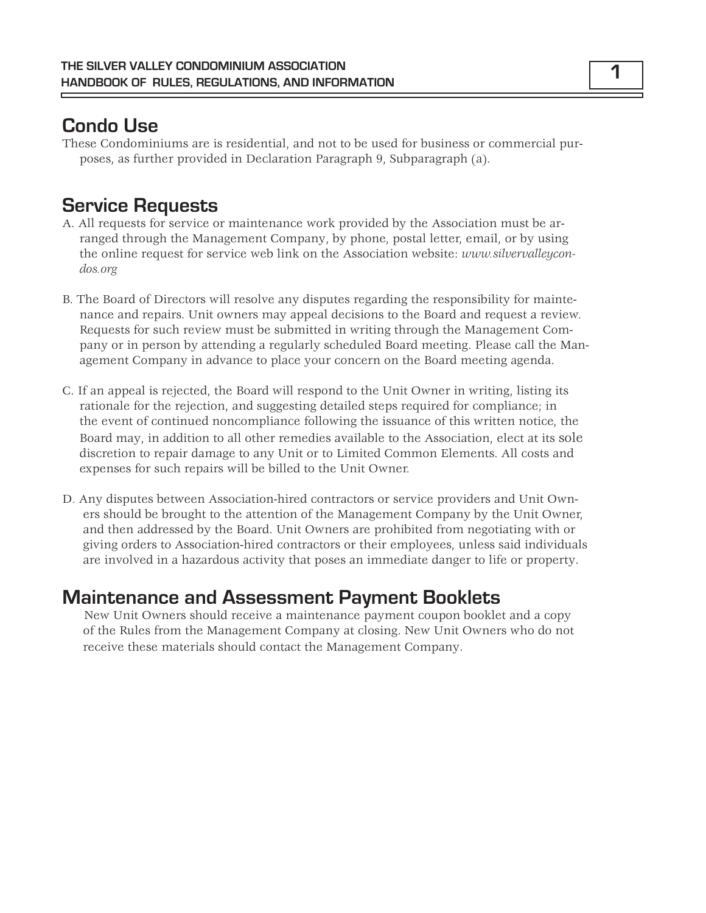## **Condo Use**

These Condominiums are is residential, and not to be used for business or commercial purposes, as further provided in Declaration Paragraph 9, Subparagraph (a).

## **Service Requests**

- A. All requests for service or maintenance work provided by the Association must be arranged through the Management Company, by phone, postal letter, email, or by using the online request for service web link on the Association website: *www.silvervalleycondos.org*
- B. The Board of Directors will resolve any disputes regarding the responsibility for maintenance and repairs. Unit owners may appeal decisions to the Board and request a review. Requests for such review must be submitted in writing through the Management Company or in person by attending a regularly scheduled Board meeting. Please call the Management Company in advance to place your concern on the Board meeting agenda.
- C. If an appeal is rejected, the Board will respond to the Unit Owner in writing, listing its rationale for the rejection, and suggesting detailed steps required for compliance; in the event of continued noncompliance following the issuance of this written notice, the Board may, in addition to all other remedies available to the Association, elect at its sole discretion to repair damage to any Unit or to Limited Common Elements. All costs and expenses for such repairs will be billed to the Unit Owner.
- D. Any disputes between Association-hired contractors or service providers and Unit Owners should be brought to the attention of the Management Company by the Unit Owner, and then addressed by the Board. Unit Owners are prohibited from negotiating with or giving orders to Association-hired contractors or their employees, unless said individuals are involved in a hazardous activity that poses an immediate danger to life or property.

### **Maintenance and Assessment Payment Booklets**

New Unit Owners should receive a maintenance payment coupon booklet and a copy of the Rules from the Management Company at closing. New Unit Owners who do not receive these materials should contact the Management Company.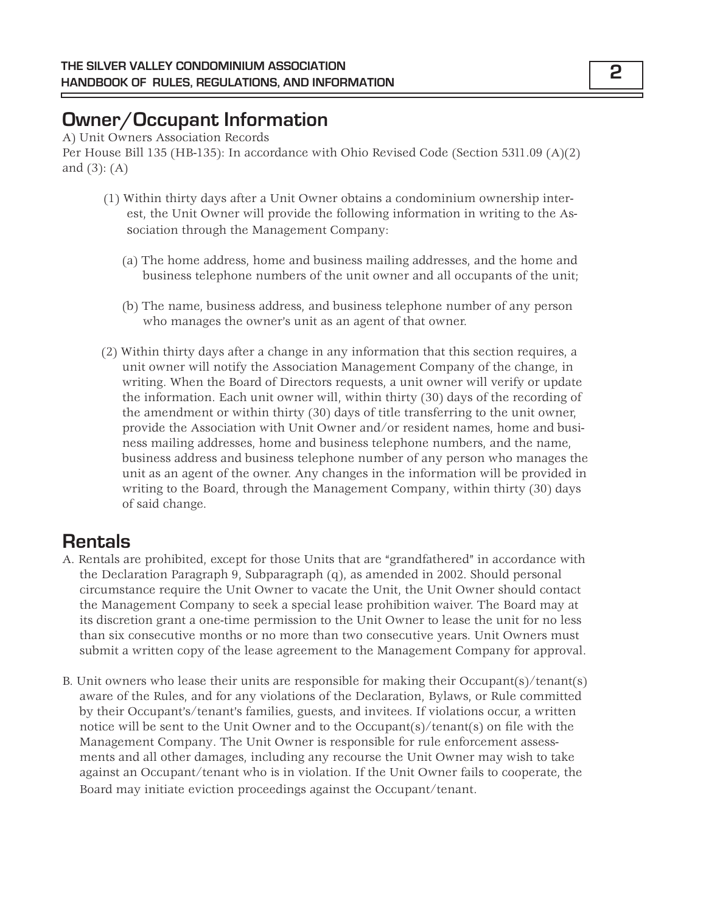## **Owner/Occupant Information**

A) Unit Owners Association Records Per House Bill 135 (HB-135): In accordance with Ohio Revised Code (Section 5311.09 (A)(2) and (3): (A)

- (1) Within thirty days after a Unit Owner obtains a condominium ownership interest, the Unit Owner will provide the following information in writing to the Association through the Management Company:
	- (a) The home address, home and business mailing addresses, and the home and business telephone numbers of the unit owner and all occupants of the unit;
	- (b) The name, business address, and business telephone number of any person who manages the owner's unit as an agent of that owner.
- (2) Within thirty days after a change in any information that this section requires, a unit owner will notify the Association Management Company of the change, in writing. When the Board of Directors requests, a unit owner will verify or update the information. Each unit owner will, within thirty (30) days of the recording of the amendment or within thirty (30) days of title transferring to the unit owner, provide the Association with Unit Owner and/or resident names, home and business mailing addresses, home and business telephone numbers, and the name, business address and business telephone number of any person who manages the unit as an agent of the owner. Any changes in the information will be provided in writing to the Board, through the Management Company, within thirty (30) days of said change.

## **Rentals**

- A. Rentals are prohibited, except for those Units that are "grandfathered" in accordance with the Declaration Paragraph 9, Subparagraph (q), as amended in 2002. Should personal circumstance require the Unit Owner to vacate the Unit, the Unit Owner should contact the Management Company to seek a special lease prohibition waiver. The Board may at its discretion grant a one-time permission to the Unit Owner to lease the unit for no less than six consecutive months or no more than two consecutive years. Unit Owners must submit a written copy of the lease agreement to the Management Company for approval.
- B. Unit owners who lease their units are responsible for making their Occupant(s)/tenant(s) aware of the Rules, and for any violations of the Declaration, Bylaws, or Rule committed by their Occupant's/tenant's families, guests, and invitees. If violations occur, a written notice will be sent to the Unit Owner and to the Occupant(s)/tenant(s) on file with the Management Company. The Unit Owner is responsible for rule enforcement assessments and all other damages, including any recourse the Unit Owner may wish to take against an Occupant/tenant who is in violation. If the Unit Owner fails to cooperate, the Board may initiate eviction proceedings against the Occupant/tenant.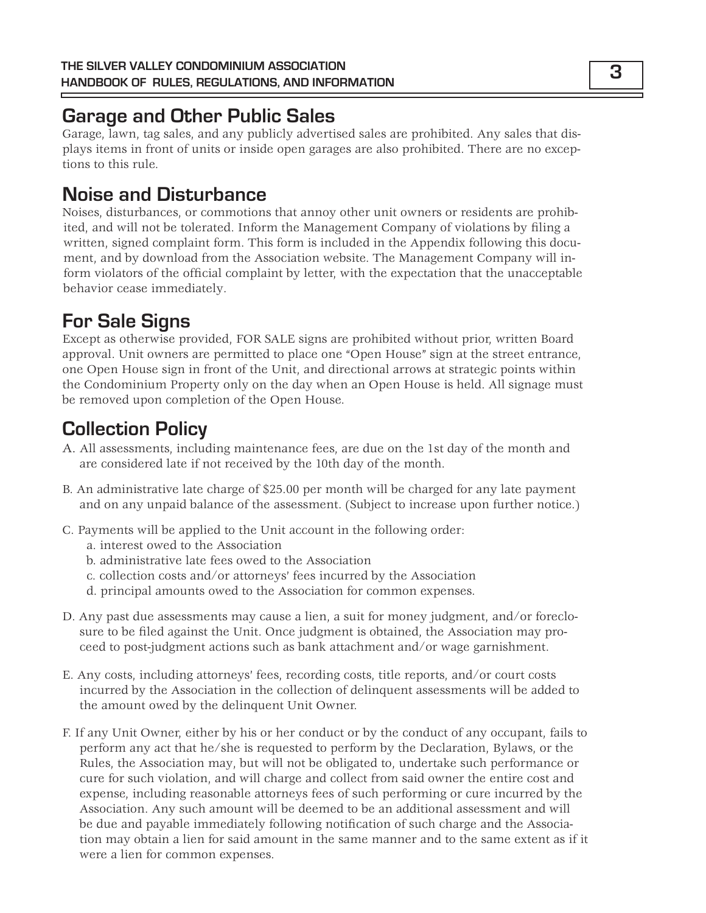## **Garage and Other Public Sales**

Garage, lawn, tag sales, and any publicly advertised sales are prohibited. Any sales that displays items in front of units or inside open garages are also prohibited. There are no exceptions to this rule.

## **Noise and Disturbance**

Noises, disturbances, or commotions that annoy other unit owners or residents are prohibited, and will not be tolerated. Inform the Management Company of violations by filing a written, signed complaint form. This form is included in the Appendix following this document, and by download from the Association website. The Management Company will inform violators of the official complaint by letter, with the expectation that the unacceptable behavior cease immediately.

## **For Sale Signs**

Except as otherwise provided, FOR SALE signs are prohibited without prior, written Board approval. Unit owners are permitted to place one "Open House" sign at the street entrance, one Open House sign in front of the Unit, and directional arrows at strategic points within the Condominium Property only on the day when an Open House is held. All signage must be removed upon completion of the Open House.

## **Collection Policy**

- A. All assessments, including maintenance fees, are due on the 1st day of the month and are considered late if not received by the 10th day of the month.
- B. An administrative late charge of \$25.00 per month will be charged for any late payment and on any unpaid balance of the assessment. (Subject to increase upon further notice.)
- C. Payments will be applied to the Unit account in the following order:
	- a. interest owed to the Association
	- b. administrative late fees owed to the Association
	- c. collection costs and/or attorneys' fees incurred by the Association
	- d. principal amounts owed to the Association for common expenses.
- D. Any past due assessments may cause a lien, a suit for money judgment, and/or foreclosure to be filed against the Unit. Once judgment is obtained, the Association may proceed to post-judgment actions such as bank attachment and/or wage garnishment.
- E. Any costs, including attorneys' fees, recording costs, title reports, and/or court costs incurred by the Association in the collection of delinquent assessments will be added to the amount owed by the delinquent Unit Owner.
- F. If any Unit Owner, either by his or her conduct or by the conduct of any occupant, fails to perform any act that he/she is requested to perform by the Declaration, Bylaws, or the Rules, the Association may, but will not be obligated to, undertake such performance or cure for such violation, and will charge and collect from said owner the entire cost and expense, including reasonable attorneys fees of such performing or cure incurred by the Association. Any such amount will be deemed to be an additional assessment and will be due and payable immediately following notification of such charge and the Association may obtain a lien for said amount in the same manner and to the same extent as if it were a lien for common expenses.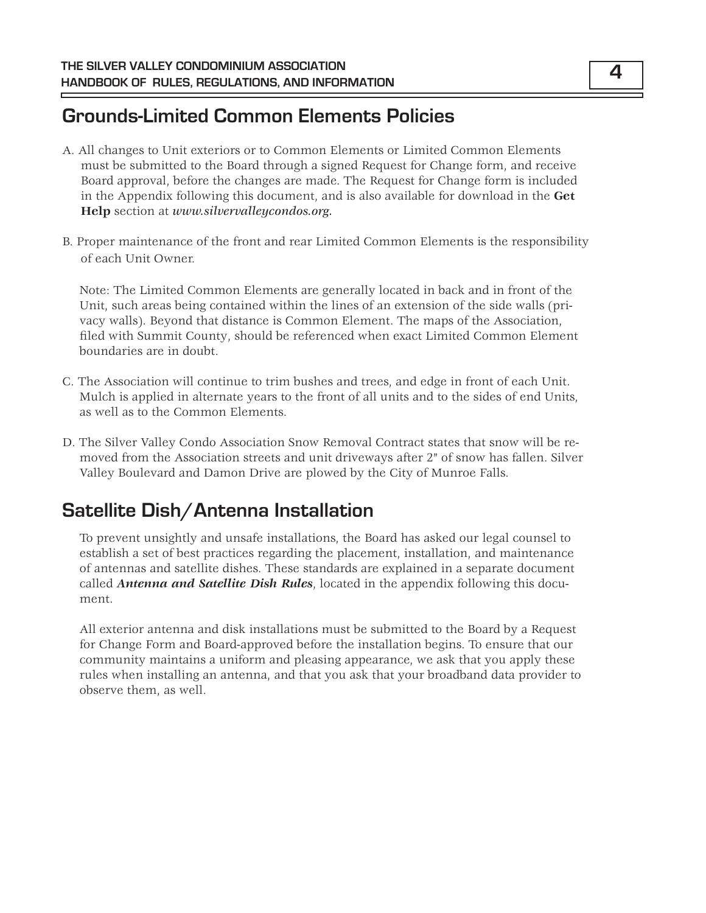## **Grounds-Limited Common Elements Policies**

- A. All changes to Unit exteriors or to Common Elements or Limited Common Elements must be submitted to the Board through a signed Request for Change form, and receive Board approval, before the changes are made. The Request for Change form is included in the Appendix following this document, and is also available for download in the **Get Help** section at *www.silvervalleycondos.org.*
- B. Proper maintenance of the front and rear Limited Common Elements is the responsibility of each Unit Owner.

Note: The Limited Common Elements are generally located in back and in front of the Unit, such areas being contained within the lines of an extension of the side walls (privacy walls). Beyond that distance is Common Element. The maps of the Association, filed with Summit County, should be referenced when exact Limited Common Element boundaries are in doubt.

- C. The Association will continue to trim bushes and trees, and edge in front of each Unit. Mulch is applied in alternate years to the front of all units and to the sides of end Units, as well as to the Common Elements.
- D. The Silver Valley Condo Association Snow Removal Contract states that snow will be removed from the Association streets and unit driveways after 2" of snow has fallen. Silver Valley Boulevard and Damon Drive are plowed by the City of Munroe Falls.

## **Satellite Dish/Antenna Installation**

To prevent unsightly and unsafe installations, the Board has asked our legal counsel to establish a set of best practices regarding the placement, installation, and maintenance of antennas and satellite dishes. These standards are explained in a separate document called *Antenna and Satellite Dish Rules*, located in the appendix following this document.

All exterior antenna and disk installations must be submitted to the Board by a Request for Change Form and Board-approved before the installation begins. To ensure that our community maintains a uniform and pleasing appearance, we ask that you apply these rules when installing an antenna, and that you ask that your broadband data provider to observe them, as well.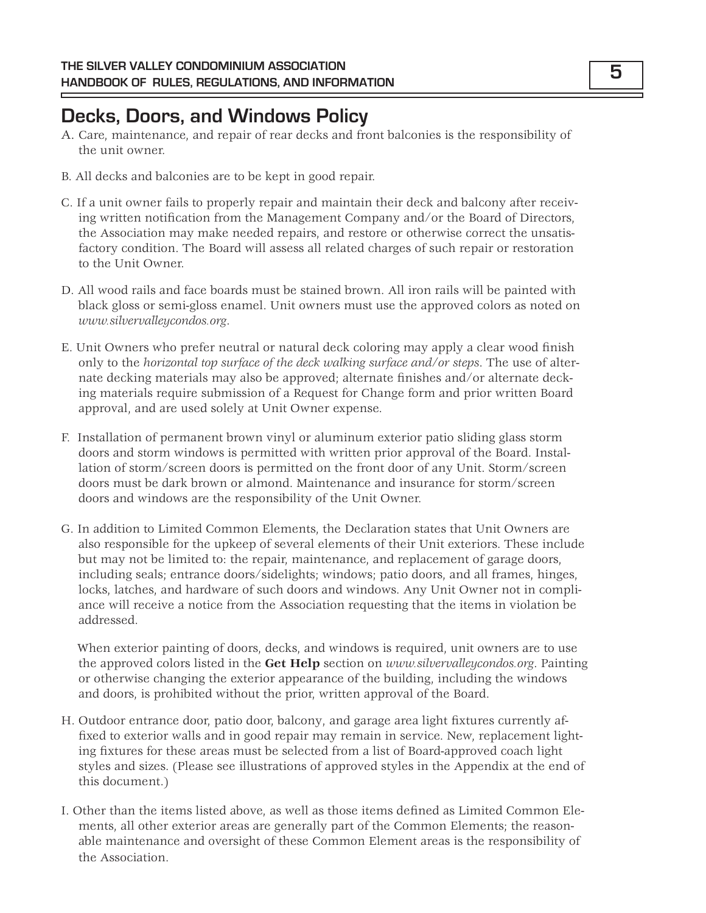## **Decks, Doors, and Windows Policy**

- A. Care, maintenance, and repair of rear decks and front balconies is the responsibility of the unit owner.
- B. All decks and balconies are to be kept in good repair.
- C. If a unit owner fails to properly repair and maintain their deck and balcony after receiving written notification from the Management Company and/or the Board of Directors, the Association may make needed repairs, and restore or otherwise correct the unsatisfactory condition. The Board will assess all related charges of such repair or restoration to the Unit Owner.
- D. All wood rails and face boards must be stained brown. All iron rails will be painted with black gloss or semi-gloss enamel. Unit owners must use the approved colors as noted on *www.silvervalleycondos.org*.
- E. Unit Owners who prefer neutral or natural deck coloring may apply a clear wood finish only to the *horizontal top surface of the deck walking surface and/or steps*. The use of alternate decking materials may also be approved; alternate finishes and/or alternate decking materials require submission of a Request for Change form and prior written Board approval, and are used solely at Unit Owner expense.
- F. Installation of permanent brown vinyl or aluminum exterior patio sliding glass storm doors and storm windows is permitted with written prior approval of the Board. Installation of storm/screen doors is permitted on the front door of any Unit. Storm/screen doors must be dark brown or almond. Maintenance and insurance for storm/screen doors and windows are the responsibility of the Unit Owner.
- G. In addition to Limited Common Elements, the Declaration states that Unit Owners are also responsible for the upkeep of several elements of their Unit exteriors. These include but may not be limited to: the repair, maintenance, and replacement of garage doors, including seals; entrance doors/sidelights; windows; patio doors, and all frames, hinges, locks, latches, and hardware of such doors and windows. Any Unit Owner not in compliance will receive a notice from the Association requesting that the items in violation be addressed.

When exterior painting of doors, decks, and windows is required, unit owners are to use the approved colors listed in the **Get Help** section on *www.silvervalleycondos.org*. Painting or otherwise changing the exterior appearance of the building, including the windows and doors, is prohibited without the prior, written approval of the Board.

- H. Outdoor entrance door, patio door, balcony, and garage area light fixtures currently affixed to exterior walls and in good repair may remain in service. New, replacement lighting fixtures for these areas must be selected from a list of Board-approved coach light styles and sizes. (Please see illustrations of approved styles in the Appendix at the end of this document.)
- I. Other than the items listed above, as well as those items defined as Limited Common Elements, all other exterior areas are generally part of the Common Elements; the reasonable maintenance and oversight of these Common Element areas is the responsibility of the Association.

**5**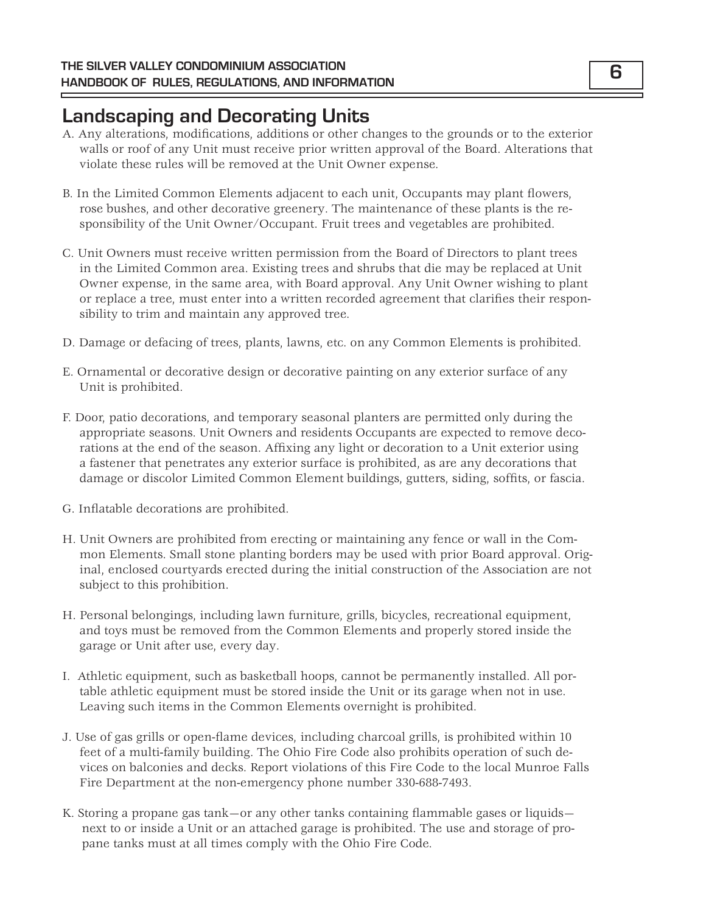## **Landscaping and Decorating Units**

- A. Any alterations, modifications, additions or other changes to the grounds or to the exterior walls or roof of any Unit must receive prior written approval of the Board. Alterations that violate these rules will be removed at the Unit Owner expense.
- B. In the Limited Common Elements adjacent to each unit, Occupants may plant flowers, rose bushes, and other decorative greenery. The maintenance of these plants is the responsibility of the Unit Owner/Occupant. Fruit trees and vegetables are prohibited.
- C. Unit Owners must receive written permission from the Board of Directors to plant trees in the Limited Common area. Existing trees and shrubs that die may be replaced at Unit Owner expense, in the same area, with Board approval. Any Unit Owner wishing to plant or replace a tree, must enter into a written recorded agreement that clarifies their responsibility to trim and maintain any approved tree.
- D. Damage or defacing of trees, plants, lawns, etc. on any Common Elements is prohibited.
- E. Ornamental or decorative design or decorative painting on any exterior surface of any Unit is prohibited.
- F. Door, patio decorations, and temporary seasonal planters are permitted only during the appropriate seasons. Unit Owners and residents Occupants are expected to remove decorations at the end of the season. Affixing any light or decoration to a Unit exterior using a fastener that penetrates any exterior surface is prohibited, as are any decorations that damage or discolor Limited Common Element buildings, gutters, siding, soffits, or fascia.
- G. Inflatable decorations are prohibited.
- H. Unit Owners are prohibited from erecting or maintaining any fence or wall in the Common Elements. Small stone planting borders may be used with prior Board approval. Original, enclosed courtyards erected during the initial construction of the Association are not subject to this prohibition.
- H. Personal belongings, including lawn furniture, grills, bicycles, recreational equipment, and toys must be removed from the Common Elements and properly stored inside the garage or Unit after use, every day.
- I. Athletic equipment, such as basketball hoops, cannot be permanently installed. All portable athletic equipment must be stored inside the Unit or its garage when not in use. Leaving such items in the Common Elements overnight is prohibited.
- J. Use of gas grills or open-flame devices, including charcoal grills, is prohibited within 10 feet of a multi-family building. The Ohio Fire Code also prohibits operation of such devices on balconies and decks. Report violations of this Fire Code to the local Munroe Falls Fire Department at the non-emergency phone number 330-688-7493.
- K. Storing a propane gas tank—or any other tanks containing flammable gases or liquids next to or inside a Unit or an attached garage is prohibited. The use and storage of propane tanks must at all times comply with the Ohio Fire Code.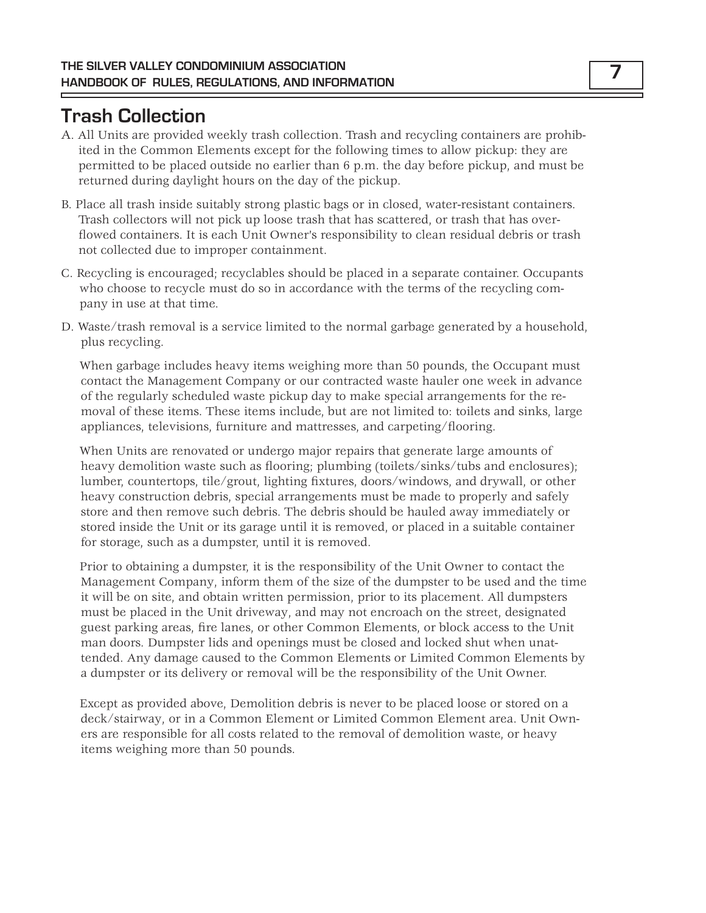## **Trash Collection**

- A. All Units are provided weekly trash collection. Trash and recycling containers are prohibited in the Common Elements except for the following times to allow pickup: they are permitted to be placed outside no earlier than 6 p.m. the day before pickup, and must be returned during daylight hours on the day of the pickup.
- B. Place all trash inside suitably strong plastic bags or in closed, water-resistant containers. Trash collectors will not pick up loose trash that has scattered, or trash that has overflowed containers. It is each Unit Owner's responsibility to clean residual debris or trash not collected due to improper containment.
- C. Recycling is encouraged; recyclables should be placed in a separate container. Occupants who choose to recycle must do so in accordance with the terms of the recycling company in use at that time.
- D. Waste/trash removal is a service limited to the normal garbage generated by a household, plus recycling.

When garbage includes heavy items weighing more than 50 pounds, the Occupant must contact the Management Company or our contracted waste hauler one week in advance of the regularly scheduled waste pickup day to make special arrangements for the removal of these items. These items include, but are not limited to: toilets and sinks, large appliances, televisions, furniture and mattresses, and carpeting/flooring.

When Units are renovated or undergo major repairs that generate large amounts of heavy demolition waste such as flooring; plumbing (toilets/sinks/tubs and enclosures); lumber, countertops, tile/grout, lighting fixtures, doors/windows, and drywall, or other heavy construction debris, special arrangements must be made to properly and safely store and then remove such debris. The debris should be hauled away immediately or stored inside the Unit or its garage until it is removed, or placed in a suitable container for storage, such as a dumpster, until it is removed.

Prior to obtaining a dumpster, it is the responsibility of the Unit Owner to contact the Management Company, inform them of the size of the dumpster to be used and the time it will be on site, and obtain written permission, prior to its placement. All dumpsters must be placed in the Unit driveway, and may not encroach on the street, designated guest parking areas, fire lanes, or other Common Elements, or block access to the Unit man doors. Dumpster lids and openings must be closed and locked shut when unattended. Any damage caused to the Common Elements or Limited Common Elements by a dumpster or its delivery or removal will be the responsibility of the Unit Owner.

Except as provided above, Demolition debris is never to be placed loose or stored on a deck/stairway, or in a Common Element or Limited Common Element area. Unit Owners are responsible for all costs related to the removal of demolition waste, or heavy items weighing more than 50 pounds.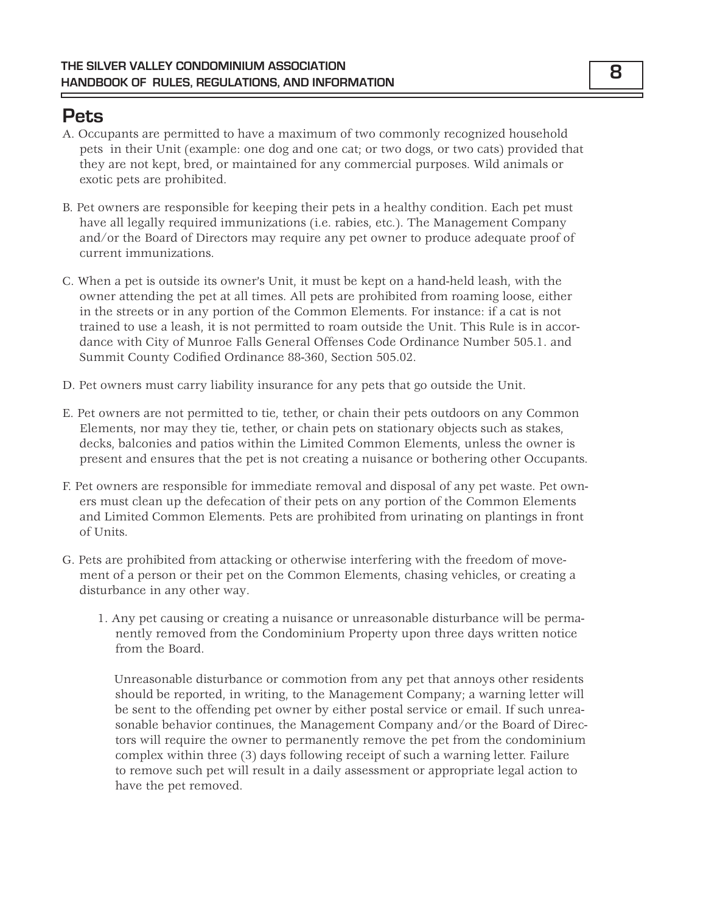## **Pets**

- A. Occupants are permitted to have a maximum of two commonly recognized household pets in their Unit (example: one dog and one cat; or two dogs, or two cats) provided that they are not kept, bred, or maintained for any commercial purposes. Wild animals or exotic pets are prohibited.
- B. Pet owners are responsible for keeping their pets in a healthy condition. Each pet must have all legally required immunizations (i.e. rabies, etc.). The Management Company and/or the Board of Directors may require any pet owner to produce adequate proof of current immunizations.
- C. When a pet is outside its owner's Unit, it must be kept on a hand-held leash, with the owner attending the pet at all times. All pets are prohibited from roaming loose, either in the streets or in any portion of the Common Elements. For instance: if a cat is not trained to use a leash, it is not permitted to roam outside the Unit. This Rule is in accordance with City of Munroe Falls General Offenses Code Ordinance Number 505.1. and Summit County Codified Ordinance 88-360, Section 505.02.
- D. Pet owners must carry liability insurance for any pets that go outside the Unit.
- E. Pet owners are not permitted to tie, tether, or chain their pets outdoors on any Common Elements, nor may they tie, tether, or chain pets on stationary objects such as stakes, decks, balconies and patios within the Limited Common Elements, unless the owner is present and ensures that the pet is not creating a nuisance or bothering other Occupants.
- F. Pet owners are responsible for immediate removal and disposal of any pet waste. Pet owners must clean up the defecation of their pets on any portion of the Common Elements and Limited Common Elements. Pets are prohibited from urinating on plantings in front of Units.
- G. Pets are prohibited from attacking or otherwise interfering with the freedom of movement of a person or their pet on the Common Elements, chasing vehicles, or creating a disturbance in any other way.
	- 1. Any pet causing or creating a nuisance or unreasonable disturbance will be permanently removed from the Condominium Property upon three days written notice from the Board.

Unreasonable disturbance or commotion from any pet that annoys other residents should be reported, in writing, to the Management Company; a warning letter will be sent to the offending pet owner by either postal service or email. If such unreasonable behavior continues, the Management Company and/or the Board of Directors will require the owner to permanently remove the pet from the condominium complex within three (3) days following receipt of such a warning letter. Failure to remove such pet will result in a daily assessment or appropriate legal action to have the pet removed.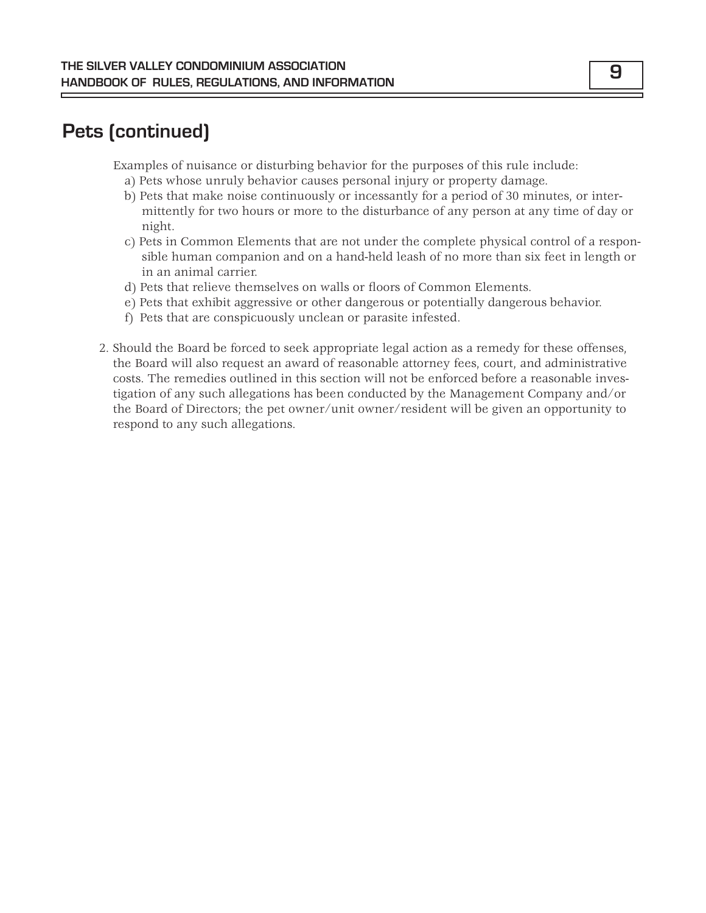## **Pets (continued)**

Examples of nuisance or disturbing behavior for the purposes of this rule include:

- a) Pets whose unruly behavior causes personal injury or property damage.
- b) Pets that make noise continuously or incessantly for a period of 30 minutes, or intermittently for two hours or more to the disturbance of any person at any time of day or night.
- c) Pets in Common Elements that are not under the complete physical control of a responsible human companion and on a hand-held leash of no more than six feet in length or in an animal carrier.
- d) Pets that relieve themselves on walls or floors of Common Elements.
- e) Pets that exhibit aggressive or other dangerous or potentially dangerous behavior.
- f) Pets that are conspicuously unclean or parasite infested.
- 2. Should the Board be forced to seek appropriate legal action as a remedy for these offenses, the Board will also request an award of reasonable attorney fees, court, and administrative costs. The remedies outlined in this section will not be enforced before a reasonable investigation of any such allegations has been conducted by the Management Company and/or the Board of Directors; the pet owner/unit owner/resident will be given an opportunity to respond to any such allegations.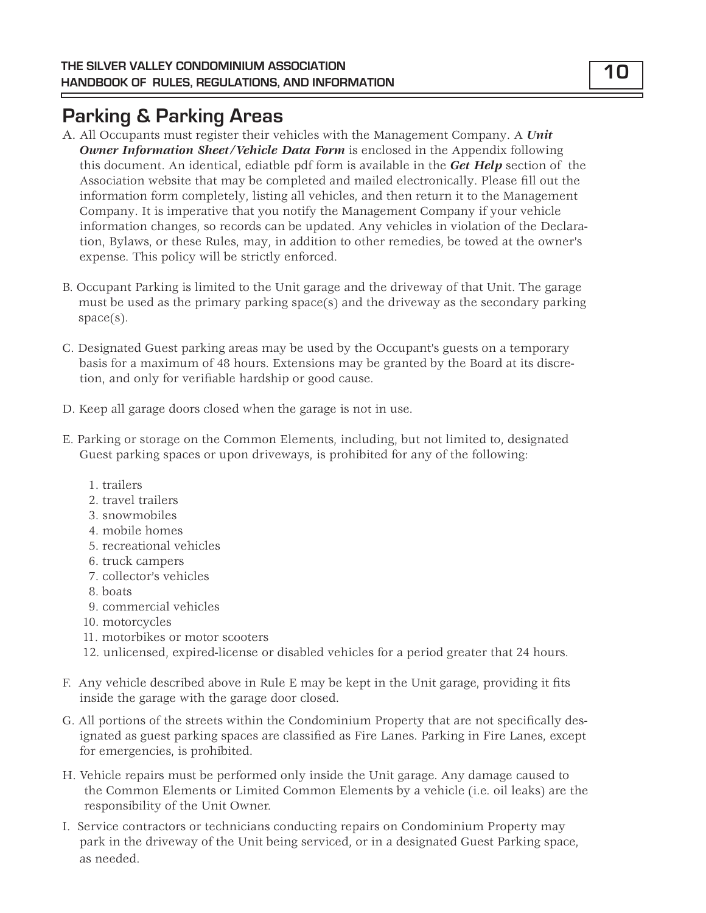## **Parking & Parking Areas**

- A. All Occupants must register their vehicles with the Management Company. A *Unit Owner Information Sheet/Vehicle Data Form* is enclosed in the Appendix following this document. An identical, ediatble pdf form is available in the *Get Help* section of the Association website that may be completed and mailed electronically. Please fill out the information form completely, listing all vehicles, and then return it to the Management Company. It is imperative that you notify the Management Company if your vehicle information changes, so records can be updated. Any vehicles in violation of the Declaration, Bylaws, or these Rules, may, in addition to other remedies, be towed at the owner's expense. This policy will be strictly enforced.
- B. Occupant Parking is limited to the Unit garage and the driveway of that Unit. The garage must be used as the primary parking space(s) and the driveway as the secondary parking space(s).
- C. Designated Guest parking areas may be used by the Occupant's guests on a temporary basis for a maximum of 48 hours. Extensions may be granted by the Board at its discretion, and only for verifiable hardship or good cause.
- D. Keep all garage doors closed when the garage is not in use.
- E. Parking or storage on the Common Elements, including, but not limited to, designated Guest parking spaces or upon driveways, is prohibited for any of the following:
	- 1. trailers
	- 2. travel trailers
	- 3. snowmobiles
	- 4. mobile homes
	- 5. recreational vehicles
	- 6. truck campers
	- 7. collector's vehicles
	- 8. boats
	- 9. commercial vehicles
	- 10. motorcycles
	- 11. motorbikes or motor scooters
	- 12. unlicensed, expired-license or disabled vehicles for a period greater that 24 hours.
- F. Any vehicle described above in Rule E may be kept in the Unit garage, providing it fits inside the garage with the garage door closed.
- G. All portions of the streets within the Condominium Property that are not specifically designated as guest parking spaces are classified as Fire Lanes. Parking in Fire Lanes, except for emergencies, is prohibited.
- H. Vehicle repairs must be performed only inside the Unit garage. Any damage caused to the Common Elements or Limited Common Elements by a vehicle (i.e. oil leaks) are the responsibility of the Unit Owner.
- I. Service contractors or technicians conducting repairs on Condominium Property may park in the driveway of the Unit being serviced, or in a designated Guest Parking space, as needed.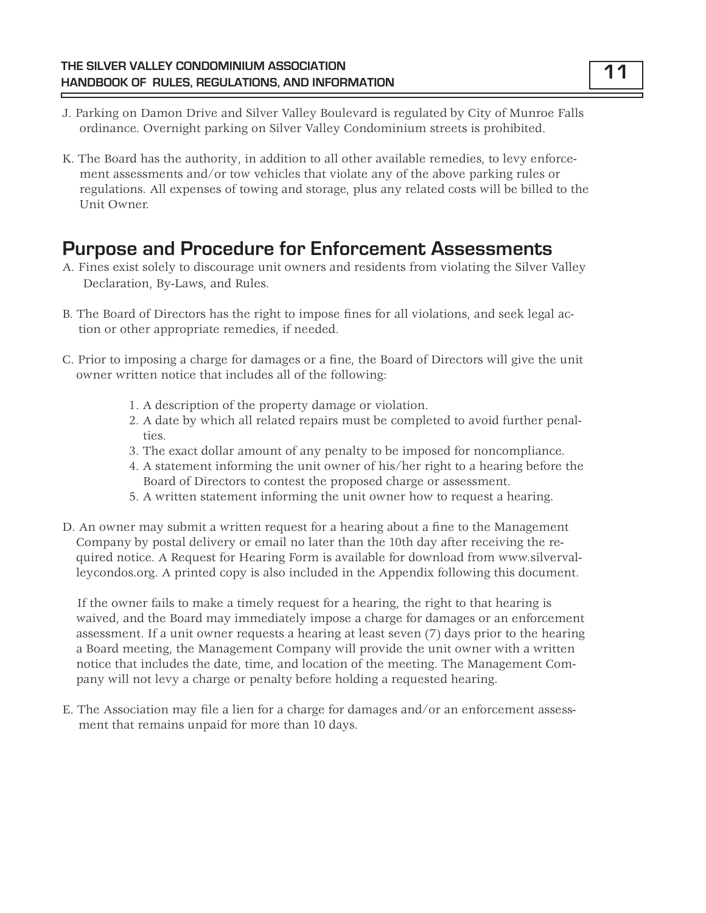- J. Parking on Damon Drive and Silver Valley Boulevard is regulated by City of Munroe Falls ordinance. Overnight parking on Silver Valley Condominium streets is prohibited.
- K. The Board has the authority, in addition to all other available remedies, to levy enforcement assessments and/or tow vehicles that violate any of the above parking rules or regulations. All expenses of towing and storage, plus any related costs will be billed to the Unit Owner.

## **Purpose and Procedure for Enforcement Assessments**

- A. Fines exist solely to discourage unit owners and residents from violating the Silver Valley Declaration, By-Laws, and Rules.
- B. The Board of Directors has the right to impose fines for all violations, and seek legal action or other appropriate remedies, if needed.
- C. Prior to imposing a charge for damages or a fine, the Board of Directors will give the unit owner written notice that includes all of the following:
	- 1. A description of the property damage or violation.
	- 2. A date by which all related repairs must be completed to avoid further penalties.
	- 3. The exact dollar amount of any penalty to be imposed for noncompliance.
	- 4. A statement informing the unit owner of his/her right to a hearing before the Board of Directors to contest the proposed charge or assessment.
	- 5. A written statement informing the unit owner how to request a hearing.
- D. An owner may submit a written request for a hearing about a fine to the Management Company by postal delivery or email no later than the 10th day after receiving the required notice. A Request for Hearing Form is available for download from www.silvervalleycondos.org. A printed copy is also included in the Appendix following this document.

If the owner fails to make a timely request for a hearing, the right to that hearing is waived, and the Board may immediately impose a charge for damages or an enforcement assessment. If a unit owner requests a hearing at least seven (7) days prior to the hearing a Board meeting, the Management Company will provide the unit owner with a written notice that includes the date, time, and location of the meeting. The Management Company will not levy a charge or penalty before holding a requested hearing.

E. The Association may file a lien for a charge for damages and/or an enforcement assessment that remains unpaid for more than 10 days.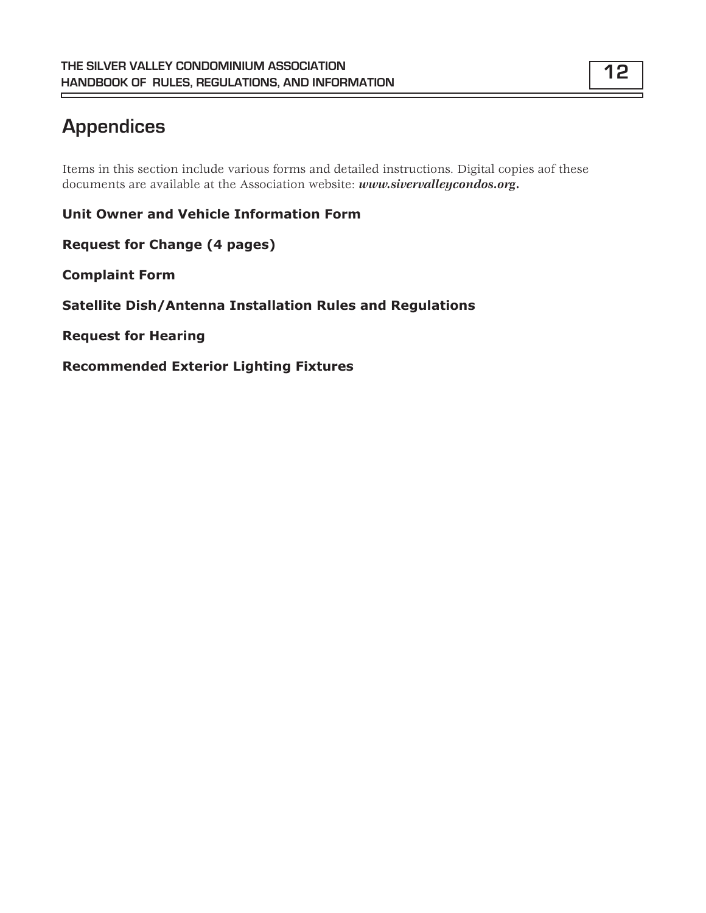# **Appendices**

Items in this section include various forms and detailed instructions. Digital copies aof these documents are available at the Association website: *www.sivervalleycondos.org.*

**Unit Owner and Vehicle Information Form**

**Request for Change (4 pages)**

**Complaint Form**

**Satellite Dish/Antenna Installation Rules and Regulations**

**Request for Hearing**

**Recommended Exterior Lighting Fixtures**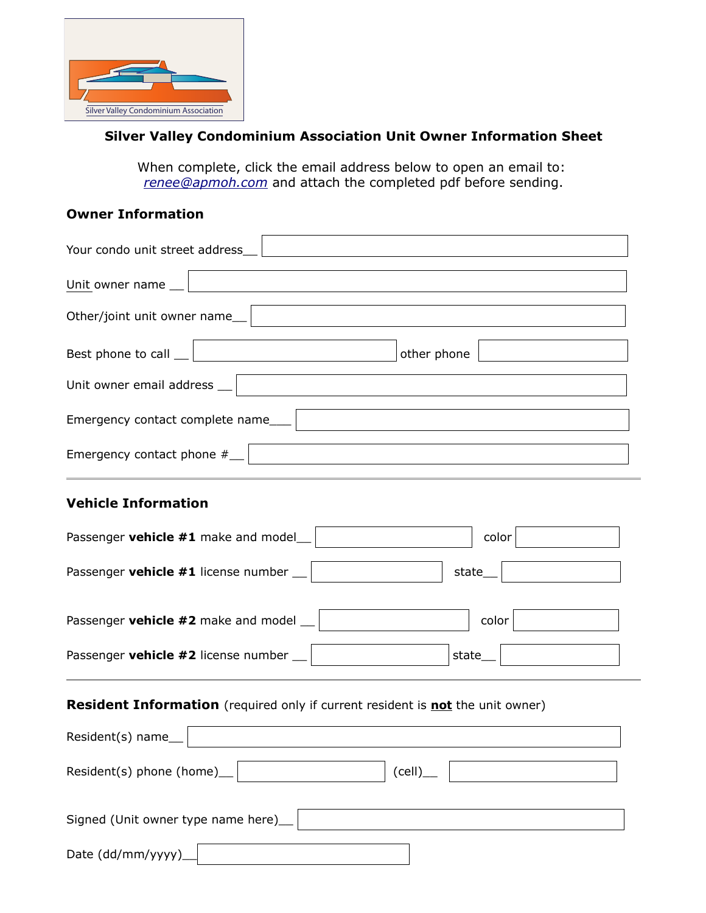

#### **Silver Valley Condominium Association Unit Owner Information Sheet**

When complete, click the email address below to open an email to: *renee@apmoh.com* and attach the completed pdf before sending.

#### **Owner Information**

| Your condo unit street address           |  |
|------------------------------------------|--|
| Unit owner name $\Box$                   |  |
| Other/joint unit owner name__            |  |
| Best phone to call $\Box$<br>other phone |  |
| Unit owner email address __              |  |
| Emergency contact complete name          |  |
| Emergency contact phone $#$              |  |

#### **Vehicle Information**

| Passenger vehicle #1 make and model_              | color    |
|---------------------------------------------------|----------|
| Passenger vehicle #1 license number __            | state___ |
| Passenger <b>vehicle #2</b> make and model $\Box$ | color    |
| Passenger vehicle #2 license number __            | state    |

#### **Resident Information** (required only if current resident is **not** the unit owner)

| Resident(s) name_ $ $                     |  |
|-------------------------------------------|--|
| Resident(s) phone (home) $\Box$<br>(cell) |  |
| Signed (Unit owner type name here)        |  |
| Date (dd/mm/yyyy)_                        |  |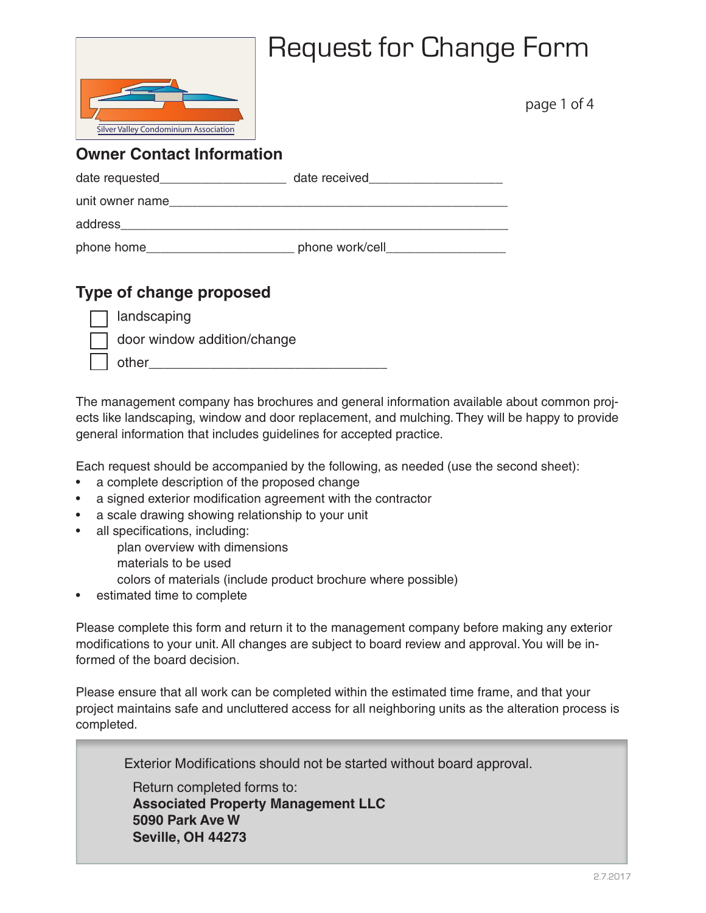

page 1 of 4

### **Owner Contact Information**

| date requested  | date received   |
|-----------------|-----------------|
| unit owner name |                 |
| address         |                 |
| phone home      | phone work/cell |

### **Type of change proposed**

|  | landscaping |
|--|-------------|
|  |             |

door window addition/change

| .<br>- - - - -<br>- |  |  |  |
|---------------------|--|--|--|
|                     |  |  |  |

The management company has brochures and general information available about common projects like landscaping, window and door replacement, and mulching. They will be happy to provide general information that includes guidelines for accepted practice.

Each request should be accompanied by the following, as needed (use the second sheet):

- a complete description of the proposed change
- a signed exterior modification agreement with the contractor
- a scale drawing showing relationship to your unit
- all specifications, including:
	- plan overview with dimensions
	- materials to be used
	- colors of materials (include product brochure where possible)
- estimated time to complete

Please complete this form and return it to the management company before making any exterior modifications to your unit. All changes are subject to board review and approval. You will be informed of the board decision.

Please ensure that all work can be completed within the estimated time frame, and that your project maintains safe and uncluttered access for all neighboring units as the alteration process is completed.

Exterior Modifications should not be started without board approval.

Return completed forms to: **Associated Property Management LLC 5090 Park Ave W Seville, OH 44273**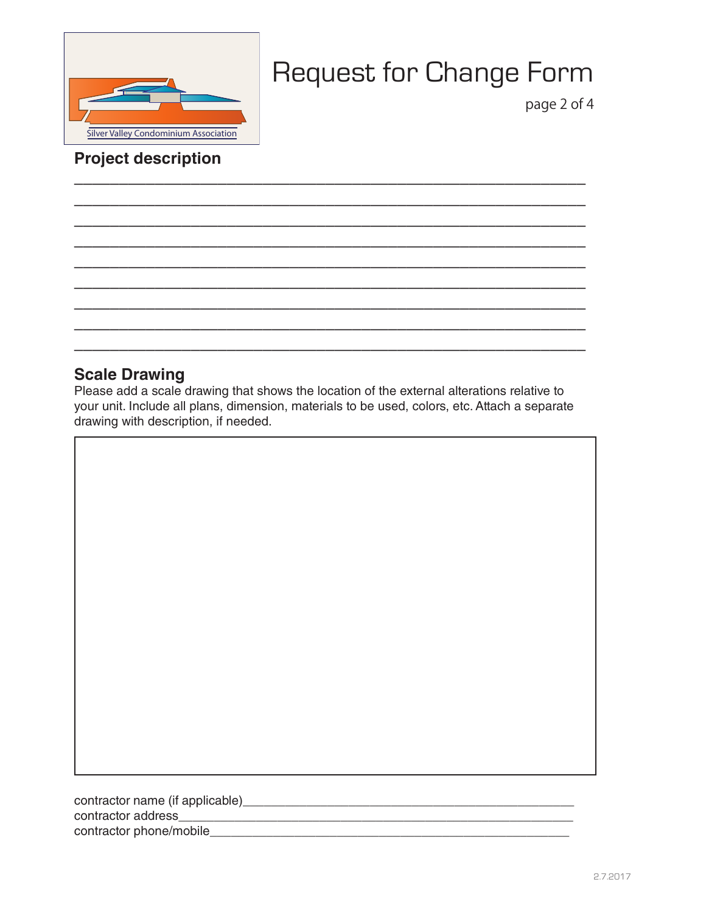

page 2 of 4

### **Project description**

#### **Scale Drawing**

Please add a scale drawing that shows the location of the external alterations relative to your unit. Include all plans, dimension, materials to be used, colors, etc. Attach a separate drawing with description, if needed.

**\_\_\_\_\_\_\_\_\_\_\_\_\_\_\_\_\_\_\_\_\_\_\_\_\_\_\_\_\_\_\_\_\_\_\_\_\_\_\_\_\_\_\_\_\_\_\_\_\_\_\_\_\_\_\_\_\_ \_\_\_\_\_\_\_\_\_\_\_\_\_\_\_\_\_\_\_\_\_\_\_\_\_\_\_\_\_\_\_\_\_\_\_\_\_\_\_\_\_\_\_\_\_\_\_\_\_\_\_\_\_\_\_\_\_ \_\_\_\_\_\_\_\_\_\_\_\_\_\_\_\_\_\_\_\_\_\_\_\_\_\_\_\_\_\_\_\_\_\_\_\_\_\_\_\_\_\_\_\_\_\_\_\_\_\_\_\_\_\_\_\_\_ \_\_\_\_\_\_\_\_\_\_\_\_\_\_\_\_\_\_\_\_\_\_\_\_\_\_\_\_\_\_\_\_\_\_\_\_\_\_\_\_\_\_\_\_\_\_\_\_\_\_\_\_\_\_\_\_\_ \_\_\_\_\_\_\_\_\_\_\_\_\_\_\_\_\_\_\_\_\_\_\_\_\_\_\_\_\_\_\_\_\_\_\_\_\_\_\_\_\_\_\_\_\_\_\_\_\_\_\_\_\_\_\_\_\_ \_\_\_\_\_\_\_\_\_\_\_\_\_\_\_\_\_\_\_\_\_\_\_\_\_\_\_\_\_\_\_\_\_\_\_\_\_\_\_\_\_\_\_\_\_\_\_\_\_\_\_\_\_\_\_\_\_ \_\_\_\_\_\_\_\_\_\_\_\_\_\_\_\_\_\_\_\_\_\_\_\_\_\_\_\_\_\_\_\_\_\_\_\_\_\_\_\_\_\_\_\_\_\_\_\_\_\_\_\_\_\_\_\_\_ \_\_\_\_\_\_\_\_\_\_\_\_\_\_\_\_\_\_\_\_\_\_\_\_\_\_\_\_\_\_\_\_\_\_\_\_\_\_\_\_\_\_\_\_\_\_\_\_\_\_\_\_\_\_\_\_\_ \_\_\_\_\_\_\_\_\_\_\_\_\_\_\_\_\_\_\_\_\_\_\_\_\_\_\_\_\_\_\_\_\_\_\_\_\_\_\_\_\_\_\_\_\_\_\_\_\_\_\_\_\_\_\_\_\_**

contractor name (if applicable)\_\_\_\_\_\_\_\_\_\_\_\_\_\_\_\_\_\_\_\_\_\_\_\_\_\_\_\_\_\_\_\_\_\_\_\_\_\_\_\_\_\_\_\_\_\_\_ contractor address\_\_\_\_\_\_\_\_\_\_\_\_\_\_\_\_\_\_\_\_\_\_\_\_\_\_\_\_\_\_\_\_\_\_\_\_\_\_\_\_\_\_\_\_\_\_\_\_\_\_\_\_\_\_\_\_ contractor phone/mobile\_\_\_\_\_\_\_\_\_\_\_\_\_\_\_\_\_\_\_\_\_\_\_\_\_\_\_\_\_\_\_\_\_\_\_\_\_\_\_\_\_\_\_\_\_\_\_\_\_\_\_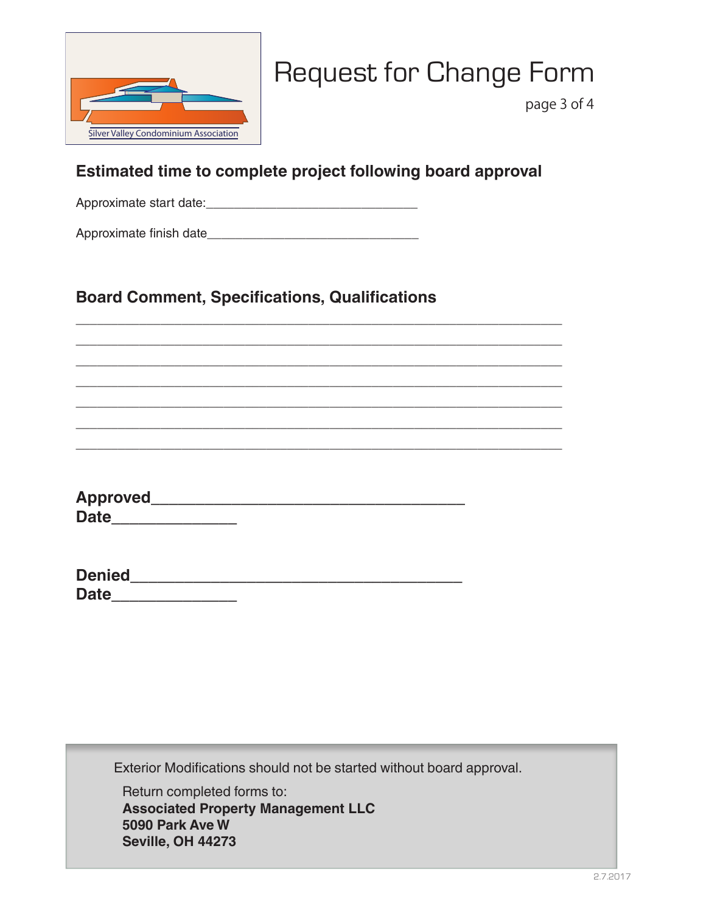

page 3 of 4

### **Estimated time to complete project following board approval**

\_\_\_\_\_\_\_\_\_\_\_\_\_\_\_\_\_\_\_\_\_\_\_\_\_\_\_\_\_\_\_\_\_\_\_\_\_\_\_\_\_\_\_\_\_\_\_\_\_\_\_\_\_\_\_\_\_\_\_\_\_\_\_\_\_\_\_\_\_ \_\_\_\_\_\_\_\_\_\_\_\_\_\_\_\_\_\_\_\_\_\_\_\_\_\_\_\_\_\_\_\_\_\_\_\_\_\_\_\_\_\_\_\_\_\_\_\_\_\_\_\_\_\_\_\_\_\_\_\_\_\_\_\_\_\_\_\_\_ \_\_\_\_\_\_\_\_\_\_\_\_\_\_\_\_\_\_\_\_\_\_\_\_\_\_\_\_\_\_\_\_\_\_\_\_\_\_\_\_\_\_\_\_\_\_\_\_\_\_\_\_\_\_\_\_\_\_\_\_\_\_\_\_\_\_\_\_\_ \_\_\_\_\_\_\_\_\_\_\_\_\_\_\_\_\_\_\_\_\_\_\_\_\_\_\_\_\_\_\_\_\_\_\_\_\_\_\_\_\_\_\_\_\_\_\_\_\_\_\_\_\_\_\_\_\_\_\_\_\_\_\_\_\_\_\_\_\_ \_\_\_\_\_\_\_\_\_\_\_\_\_\_\_\_\_\_\_\_\_\_\_\_\_\_\_\_\_\_\_\_\_\_\_\_\_\_\_\_\_\_\_\_\_\_\_\_\_\_\_\_\_\_\_\_\_\_\_\_\_\_\_\_\_\_\_\_\_ \_\_\_\_\_\_\_\_\_\_\_\_\_\_\_\_\_\_\_\_\_\_\_\_\_\_\_\_\_\_\_\_\_\_\_\_\_\_\_\_\_\_\_\_\_\_\_\_\_\_\_\_\_\_\_\_\_\_\_\_\_\_\_\_\_\_\_\_\_ \_\_\_\_\_\_\_\_\_\_\_\_\_\_\_\_\_\_\_\_\_\_\_\_\_\_\_\_\_\_\_\_\_\_\_\_\_\_\_\_\_\_\_\_\_\_\_\_\_\_\_\_\_\_\_\_\_\_\_\_\_\_\_\_\_\_\_\_\_

Approximate start date:\_\_\_\_\_\_\_\_\_\_\_\_\_\_\_\_\_\_\_\_\_\_\_\_\_\_\_\_\_\_

Approximate finish date\_\_\_\_\_\_\_\_\_\_\_\_\_\_\_\_\_\_\_\_\_\_\_\_\_\_\_\_\_\_

### **Board Comment, Specifications, Qualifications**

**Approved\_\_\_\_\_\_\_\_\_\_\_\_\_\_\_\_\_\_\_\_\_\_\_\_\_\_\_\_\_\_\_\_\_\_\_ Date\_\_\_\_\_\_\_\_\_\_\_\_\_\_**

| <b>Denied</b> |  |  |  |
|---------------|--|--|--|
| <b>Date</b>   |  |  |  |

Exterior Modifications should not be started without board approval.

Return completed forms to: **Associated Property Management LLC 5090 Park Ave W Seville, OH 44273**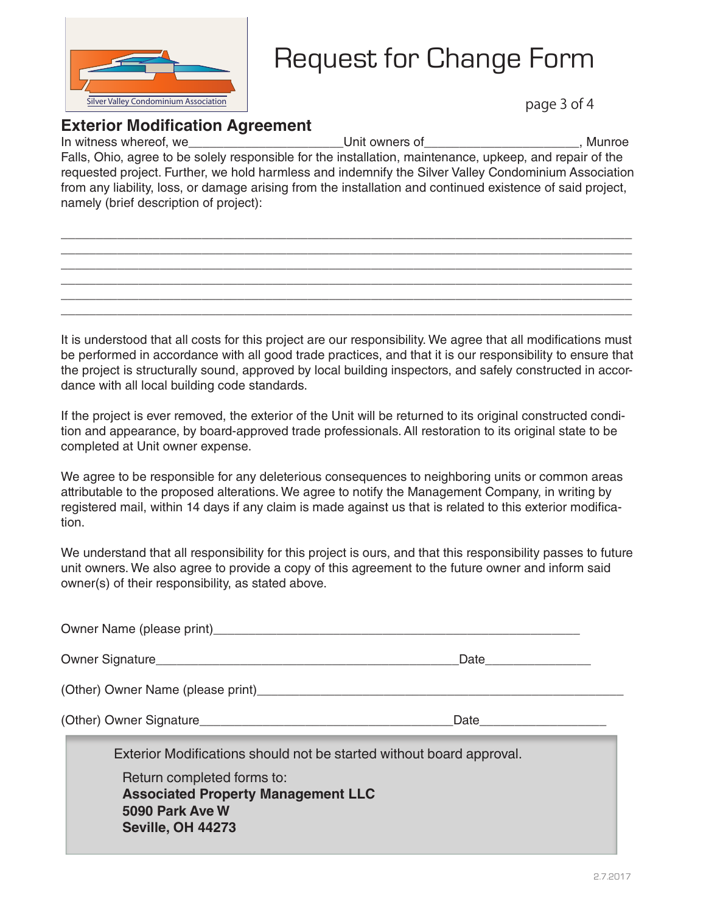

#### **Exterior Modification Agreement**

In witness whereof, we contract the contract of the Unit owners of the contract of the contract of the contract of the contract of the contract of the contract of the contract of the contract of the contract of the contrac Falls, Ohio, agree to be solely responsible for the installation, maintenance, upkeep, and repair of the requested project. Further, we hold harmless and indemnify the Silver Valley Condominium Association from any liability, loss, or damage arising from the installation and continued existence of said project, namely (brief description of project):

\_\_\_\_\_\_\_\_\_\_\_\_\_\_\_\_\_\_\_\_\_\_\_\_\_\_\_\_\_\_\_\_\_\_\_\_\_\_\_\_\_\_\_\_\_\_\_\_\_\_\_\_\_\_\_\_\_\_\_\_\_\_\_\_\_\_\_\_\_\_\_\_\_\_\_\_\_\_\_\_\_ \_\_\_\_\_\_\_\_\_\_\_\_\_\_\_\_\_\_\_\_\_\_\_\_\_\_\_\_\_\_\_\_\_\_\_\_\_\_\_\_\_\_\_\_\_\_\_\_\_\_\_\_\_\_\_\_\_\_\_\_\_\_\_\_\_\_\_\_\_\_\_\_\_\_\_\_\_\_\_\_\_ \_\_\_\_\_\_\_\_\_\_\_\_\_\_\_\_\_\_\_\_\_\_\_\_\_\_\_\_\_\_\_\_\_\_\_\_\_\_\_\_\_\_\_\_\_\_\_\_\_\_\_\_\_\_\_\_\_\_\_\_\_\_\_\_\_\_\_\_\_\_\_\_\_\_\_\_\_\_\_\_\_ \_\_\_\_\_\_\_\_\_\_\_\_\_\_\_\_\_\_\_\_\_\_\_\_\_\_\_\_\_\_\_\_\_\_\_\_\_\_\_\_\_\_\_\_\_\_\_\_\_\_\_\_\_\_\_\_\_\_\_\_\_\_\_\_\_\_\_\_\_\_\_\_\_\_\_\_\_\_\_\_\_ \_\_\_\_\_\_\_\_\_\_\_\_\_\_\_\_\_\_\_\_\_\_\_\_\_\_\_\_\_\_\_\_\_\_\_\_\_\_\_\_\_\_\_\_\_\_\_\_\_\_\_\_\_\_\_\_\_\_\_\_\_\_\_\_\_\_\_\_\_\_\_\_\_\_\_\_\_\_\_\_\_ \_\_\_\_\_\_\_\_\_\_\_\_\_\_\_\_\_\_\_\_\_\_\_\_\_\_\_\_\_\_\_\_\_\_\_\_\_\_\_\_\_\_\_\_\_\_\_\_\_\_\_\_\_\_\_\_\_\_\_\_\_\_\_\_\_\_\_\_\_\_\_\_\_\_\_\_\_\_\_\_\_

It is understood that all costs for this project are our responsibility. We agree that all modifications must be performed in accordance with all good trade practices, and that it is our responsibility to ensure that the project is structurally sound, approved by local building inspectors, and safely constructed in accordance with all local building code standards.

If the project is ever removed, the exterior of the Unit will be returned to its original constructed condition and appearance, by board-approved trade professionals. All restoration to its original state to be completed at Unit owner expense.

We agree to be responsible for any deleterious consequences to neighboring units or common areas attributable to the proposed alterations. We agree to notify the Management Company, in writing by registered mail, within 14 days if any claim is made against us that is related to this exterior modification.

We understand that all responsibility for this project is ours, and that this responsibility passes to future unit owners. We also agree to provide a copy of this agreement to the future owner and inform said owner(s) of their responsibility, as stated above.

| Owner Name (please print) example and the control of the control of the control of the control of the control of the control of the control of the control of the control of the control of the control of the control of the |  |
|-------------------------------------------------------------------------------------------------------------------------------------------------------------------------------------------------------------------------------|--|
|                                                                                                                                                                                                                               |  |
| (Other) Owner Name (please print)                                                                                                                                                                                             |  |
|                                                                                                                                                                                                                               |  |
| Exterior Modifications should not be started without board approval.                                                                                                                                                          |  |
| Return completed forms to:<br><b>Associated Property Management LLC</b><br>5090 Park Ave W<br><b>Seville, OH 44273</b>                                                                                                        |  |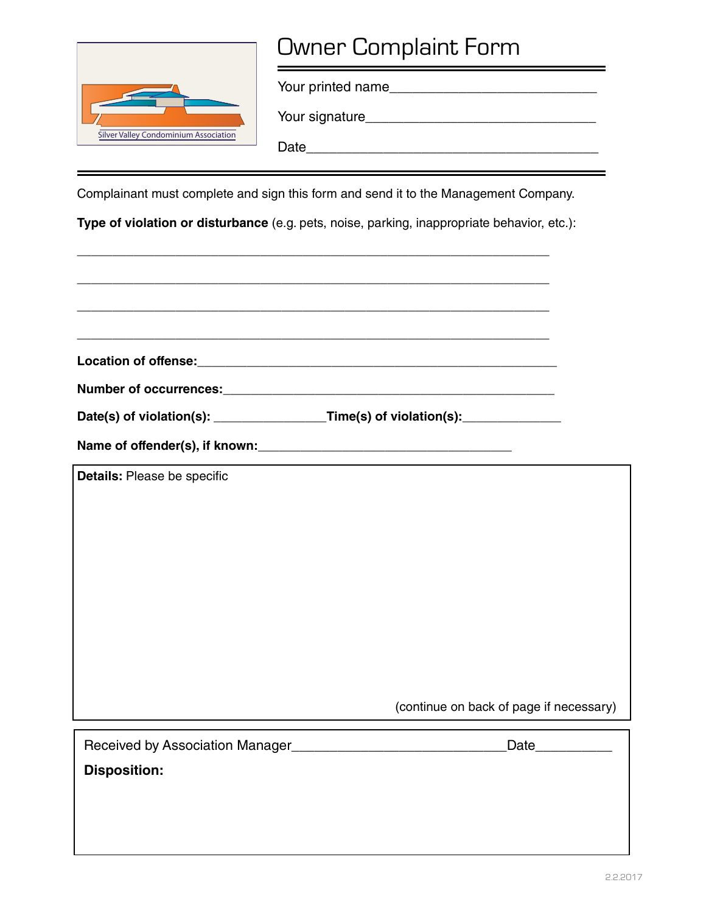

# Owner Complaint Form

Your printed name\_\_\_\_\_\_\_\_\_\_\_\_\_\_\_\_\_\_\_\_\_\_\_\_\_\_\_

Your signature\_\_\_\_\_\_\_\_\_\_\_\_\_\_\_\_\_\_\_\_\_\_\_\_\_\_\_\_\_\_

Date\_\_\_\_\_\_\_\_\_\_\_\_\_\_\_\_\_\_\_\_\_\_\_\_\_\_\_\_\_\_\_\_\_\_\_\_\_\_

Complainant must complete and sign this form and send it to the Management Company.

**Type of violation or disturbance** (e.g. pets, noise, parking, inappropriate behavior, etc.):

\_\_\_\_\_\_\_\_\_\_\_\_\_\_\_\_\_\_\_\_\_\_\_\_\_\_\_\_\_\_\_\_\_\_\_\_\_\_\_\_\_\_\_\_\_\_\_\_\_\_\_\_\_\_\_\_\_\_\_\_\_\_\_\_\_\_\_

|                                                        | Date(s) of violation(s): _________________Time(s) of violation(s): _____________ |
|--------------------------------------------------------|----------------------------------------------------------------------------------|
|                                                        |                                                                                  |
| Details: Please be specific                            |                                                                                  |
|                                                        |                                                                                  |
|                                                        |                                                                                  |
|                                                        |                                                                                  |
|                                                        |                                                                                  |
|                                                        |                                                                                  |
|                                                        |                                                                                  |
|                                                        |                                                                                  |
|                                                        | (continue on back of page if necessary)                                          |
| Received by Association Manager<br><u>Example 2008</u> | Date <b>Date</b>                                                                 |
| <b>Disposition:</b>                                    |                                                                                  |
|                                                        |                                                                                  |
|                                                        |                                                                                  |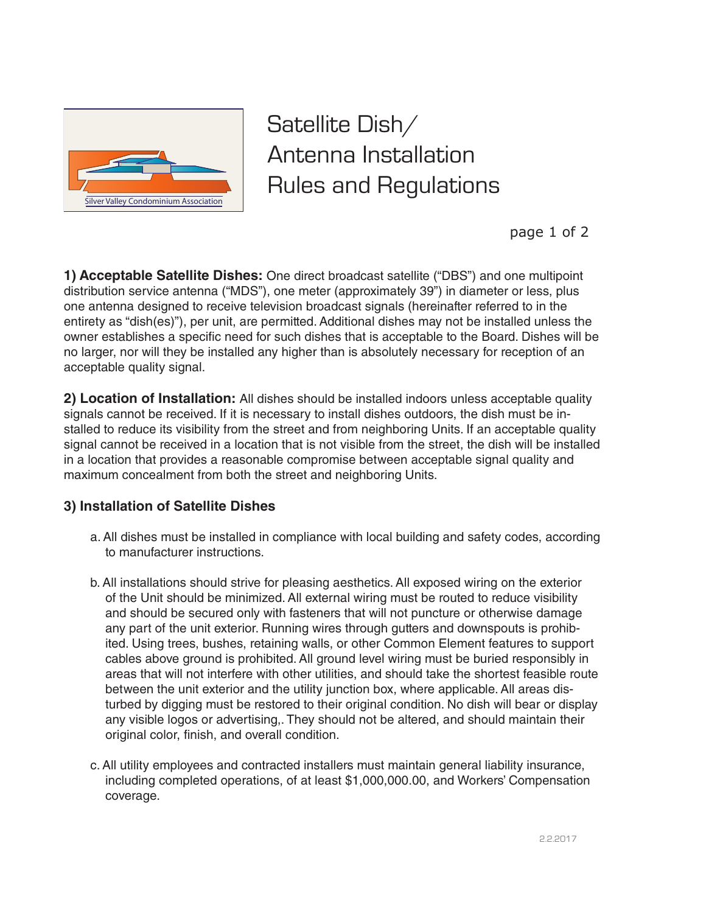

Satellite Dish/ Antenna Installation Rules and Regulations

page 1 of 2

**1) Acceptable Satellite Dishes:** One direct broadcast satellite ("DBS") and one multipoint distribution service antenna ("MDS"), one meter (approximately 39") in diameter or less, plus one antenna designed to receive television broadcast signals (hereinafter referred to in the entirety as "dish(es)"), per unit, are permitted. Additional dishes may not be installed unless the owner establishes a specific need for such dishes that is acceptable to the Board. Dishes will be no larger, nor will they be installed any higher than is absolutely necessary for reception of an acceptable quality signal.

**2) Location of Installation:** All dishes should be installed indoors unless acceptable quality signals cannot be received. If it is necessary to install dishes outdoors, the dish must be installed to reduce its visibility from the street and from neighboring Units. If an acceptable quality signal cannot be received in a location that is not visible from the street, the dish will be installed in a location that provides a reasonable compromise between acceptable signal quality and maximum concealment from both the street and neighboring Units.

#### **3) Installation of Satellite Dishes**

- a. All dishes must be installed in compliance with local building and safety codes, according to manufacturer instructions.
- b. All installations should strive for pleasing aesthetics. All exposed wiring on the exterior of the Unit should be minimized. All external wiring must be routed to reduce visibility and should be secured only with fasteners that will not puncture or otherwise damage any part of the unit exterior. Running wires through gutters and downspouts is prohibited. Using trees, bushes, retaining walls, or other Common Element features to support cables above ground is prohibited. All ground level wiring must be buried responsibly in areas that will not interfere with other utilities, and should take the shortest feasible route between the unit exterior and the utility junction box, where applicable. All areas disturbed by digging must be restored to their original condition. No dish will bear or display any visible logos or advertising,. They should not be altered, and should maintain their original color, finish, and overall condition.
- c. All utility employees and contracted installers must maintain general liability insurance, including completed operations, of at least \$1,000,000.00, and Workers' Compensation coverage.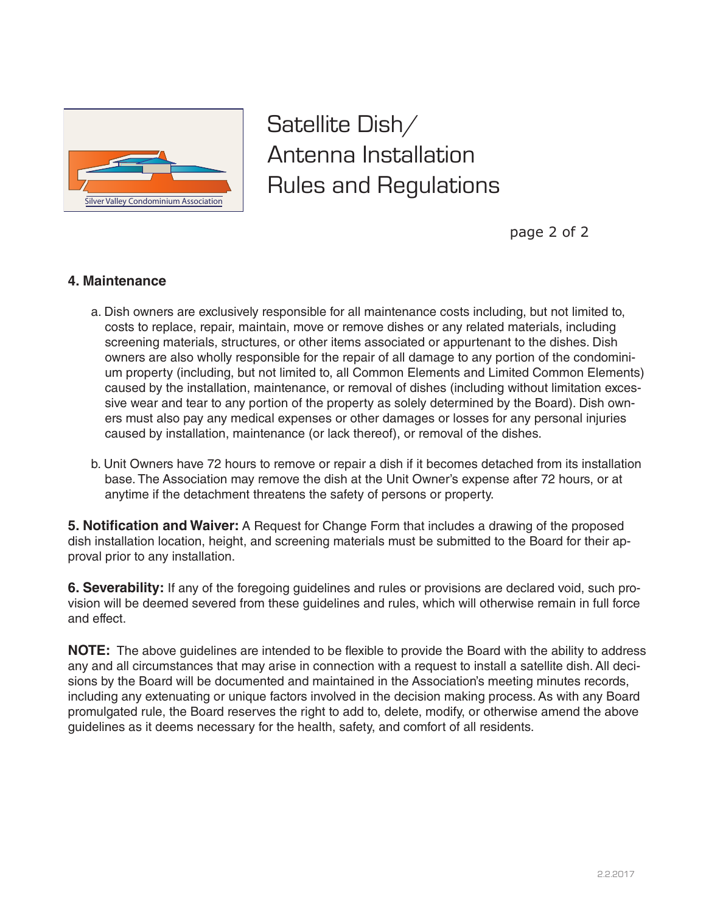

Satellite Dish/ Antenna Installation Rules and Regulations

page 2 of 2

#### **4. Maintenance**

- a. Dish owners are exclusively responsible for all maintenance costs including, but not limited to, costs to replace, repair, maintain, move or remove dishes or any related materials, including screening materials, structures, or other items associated or appurtenant to the dishes. Dish owners are also wholly responsible for the repair of all damage to any portion of the condominium property (including, but not limited to, all Common Elements and Limited Common Elements) caused by the installation, maintenance, or removal of dishes (including without limitation excessive wear and tear to any portion of the property as solely determined by the Board). Dish owners must also pay any medical expenses or other damages or losses for any personal injuries caused by installation, maintenance (or lack thereof), or removal of the dishes.
- b. Unit Owners have 72 hours to remove or repair a dish if it becomes detached from its installation base. The Association may remove the dish at the Unit Owner's expense after 72 hours, or at anytime if the detachment threatens the safety of persons or property.

**5. Notification and Waiver:** A Request for Change Form that includes a drawing of the proposed dish installation location, height, and screening materials must be submitted to the Board for their approval prior to any installation.

**6. Severability:** If any of the foregoing guidelines and rules or provisions are declared void, such provision will be deemed severed from these guidelines and rules, which will otherwise remain in full force and effect.

**NOTE:** The above guidelines are intended to be flexible to provide the Board with the ability to address any and all circumstances that may arise in connection with a request to install a satellite dish. All decisions by the Board will be documented and maintained in the Association's meeting minutes records, including any extenuating or unique factors involved in the decision making process. As with any Board promulgated rule, the Board reserves the right to add to, delete, modify, or otherwise amend the above guidelines as it deems necessary for the health, safety, and comfort of all residents.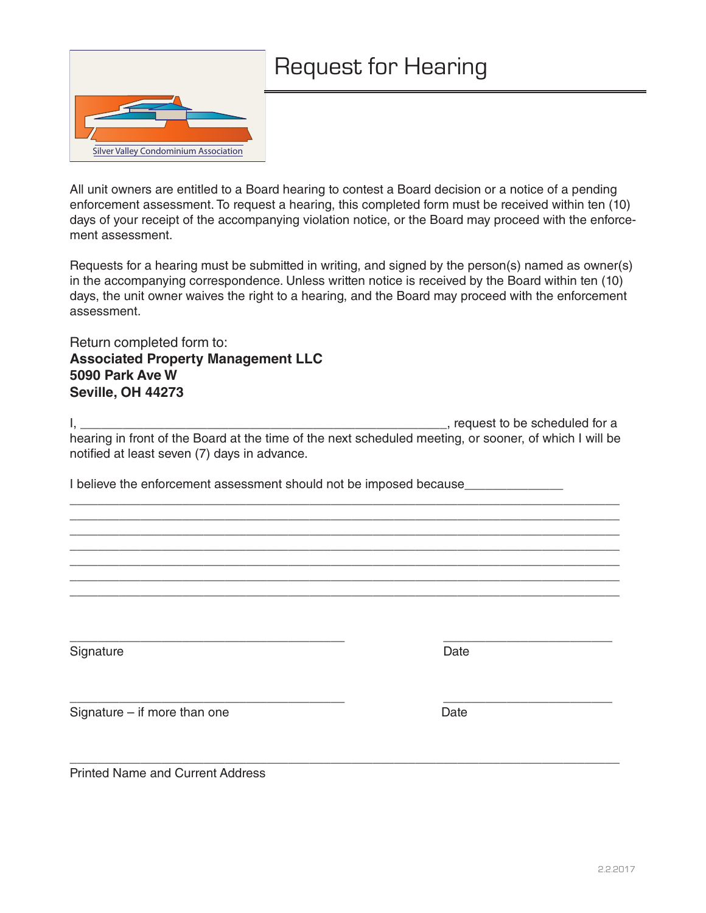

All unit owners are entitled to a Board hearing to contest a Board decision or a notice of a pending enforcement assessment. To request a hearing, this completed form must be received within ten (10) days of your receipt of the accompanying violation notice, or the Board may proceed with the enforcement assessment.

Requests for a hearing must be submitted in writing, and signed by the person(s) named as owner(s) in the accompanying correspondence. Unless written notice is received by the Board within ten (10) days, the unit owner waives the right to a hearing, and the Board may proceed with the enforcement assessment.

Return completed form to: **Associated Property Management LLC 5090 Park Ave W Seville, OH 44273**

I, Allen and the state of the scheduled for a set of the scheduled for a set of the scheduled for a hearing in front of the Board at the time of the next scheduled meeting, or sooner, of which I will be notified at least seven (7) days in advance.

\_\_\_\_\_\_\_\_\_\_\_\_\_\_\_\_\_\_\_\_\_\_\_\_\_\_\_\_\_\_\_\_\_\_\_\_\_\_\_\_\_\_\_\_\_\_\_\_\_\_\_\_\_\_\_\_\_\_\_\_\_\_\_\_\_\_\_\_\_\_\_\_\_\_\_\_\_\_ \_\_\_\_\_\_\_\_\_\_\_\_\_\_\_\_\_\_\_\_\_\_\_\_\_\_\_\_\_\_\_\_\_\_\_\_\_\_\_\_\_\_\_\_\_\_\_\_\_\_\_\_\_\_\_\_\_\_\_\_\_\_\_\_\_\_\_\_\_\_\_\_\_\_\_\_\_\_ \_\_\_\_\_\_\_\_\_\_\_\_\_\_\_\_\_\_\_\_\_\_\_\_\_\_\_\_\_\_\_\_\_\_\_\_\_\_\_\_\_\_\_\_\_\_\_\_\_\_\_\_\_\_\_\_\_\_\_\_\_\_\_\_\_\_\_\_\_\_\_\_\_\_\_\_\_\_ \_\_\_\_\_\_\_\_\_\_\_\_\_\_\_\_\_\_\_\_\_\_\_\_\_\_\_\_\_\_\_\_\_\_\_\_\_\_\_\_\_\_\_\_\_\_\_\_\_\_\_\_\_\_\_\_\_\_\_\_\_\_\_\_\_\_\_\_\_\_\_\_\_\_\_\_\_\_ \_\_\_\_\_\_\_\_\_\_\_\_\_\_\_\_\_\_\_\_\_\_\_\_\_\_\_\_\_\_\_\_\_\_\_\_\_\_\_\_\_\_\_\_\_\_\_\_\_\_\_\_\_\_\_\_\_\_\_\_\_\_\_\_\_\_\_\_\_\_\_\_\_\_\_\_\_\_ \_\_\_\_\_\_\_\_\_\_\_\_\_\_\_\_\_\_\_\_\_\_\_\_\_\_\_\_\_\_\_\_\_\_\_\_\_\_\_\_\_\_\_\_\_\_\_\_\_\_\_\_\_\_\_\_\_\_\_\_\_\_\_\_\_\_\_\_\_\_\_\_\_\_\_\_\_\_ \_\_\_\_\_\_\_\_\_\_\_\_\_\_\_\_\_\_\_\_\_\_\_\_\_\_\_\_\_\_\_\_\_\_\_\_\_\_\_\_\_\_\_\_\_\_\_\_\_\_\_\_\_\_\_\_\_\_\_\_\_\_\_\_\_\_\_\_\_\_\_\_\_\_\_\_\_\_

\_\_\_\_\_\_\_\_\_\_\_\_\_\_\_\_\_\_\_\_\_\_\_\_\_\_\_\_\_\_\_\_\_\_\_\_\_\_\_ \_\_\_\_\_\_\_\_\_\_\_\_\_\_\_\_\_\_\_\_\_\_\_\_

\_\_\_\_\_\_\_\_\_\_\_\_\_\_\_\_\_\_\_\_\_\_\_\_\_\_\_\_\_\_\_\_\_\_\_\_\_\_\_ \_\_\_\_\_\_\_\_\_\_\_\_\_\_\_\_\_\_\_\_\_\_\_\_

\_\_\_\_\_\_\_\_\_\_\_\_\_\_\_\_\_\_\_\_\_\_\_\_\_\_\_\_\_\_\_\_\_\_\_\_\_\_\_\_\_\_\_\_\_\_\_\_\_\_\_\_\_\_\_\_\_\_\_\_\_\_\_\_\_\_\_\_\_\_\_\_\_\_\_\_\_\_

I believe the enforcement assessment should not be imposed because

Signature Date **Date** 

Signature – if more than one Date

Printed Name and Current Address

2.2.2017